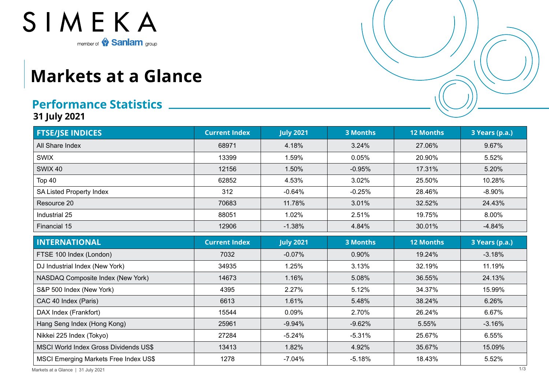

## **Markets at a Glance**

## **Performance Statistics**

**31 July 2021**

| <b>FTSE/JSE INDICES</b>                      | <b>Current Index</b> | <b>July 2021</b> | <b>3 Months</b> | <b>12 Months</b> | 3 Years (p.a.) |
|----------------------------------------------|----------------------|------------------|-----------------|------------------|----------------|
| All Share Index                              | 68971                | 4.18%            | 3.24%           | 27.06%           | 9.67%          |
| <b>SWIX</b>                                  | 13399                | 1.59%            | 0.05%           | 20.90%           | 5.52%          |
| SWIX 40                                      | 12156                | 1.50%            | $-0.95%$        | 17.31%           | 5.20%          |
| Top 40                                       | 62852                | 4.53%            | 3.02%           | 25.50%           | 10.28%         |
| <b>SA Listed Property Index</b>              | 312                  | $-0.64%$         | $-0.25%$        | 28.46%           | $-8.90%$       |
| Resource 20                                  | 70683                | 11.78%           | 3.01%           | 32.52%           | 24.43%         |
| Industrial 25                                | 88051                | 1.02%            | 2.51%           | 19.75%           | 8.00%          |
| Financial 15                                 | 12906                | $-1.38%$         | 4.84%           | 30.01%           | $-4.84%$       |
| <b>INTERNATIONAL</b>                         | <b>Current Index</b> | <b>July 2021</b> | <b>3 Months</b> | <b>12 Months</b> | 3 Years (p.a.) |
| FTSE 100 Index (London)                      | 7032                 | $-0.07%$         | 0.90%           | 19.24%           | $-3.18%$       |
| DJ Industrial Index (New York)               | 34935                | 1.25%            | 3.13%           | 32.19%           | 11.19%         |
| NASDAQ Composite Index (New York)            | 14673                | 1.16%            | 5.08%           | 36.55%           | 24.13%         |
| S&P 500 Index (New York)                     | 4395                 | 2.27%            | 5.12%           | 34.37%           | 15.99%         |
| CAC 40 Index (Paris)                         | 6613                 | 1.61%            | 5.48%           | 38.24%           | 6.26%          |
| DAX Index (Frankfort)                        | 15544                | 0.09%            | 2.70%           | 26.24%           | 6.67%          |
| Hang Seng Index (Hong Kong)                  | 25961                | $-9.94%$         | $-9.62%$        | 5.55%            | $-3.16%$       |
| Nikkei 225 Index (Tokyo)                     | 27284                | $-5.24%$         | $-5.31%$        | 25.67%           | 6.55%          |
| MSCI World Index Gross Dividends US\$        | 13413                | 1.82%            | 4.92%           | 35.67%           | 15.09%         |
| <b>MSCI Emerging Markets Free Index US\$</b> | 1278                 | $-7.04%$         | $-5.18%$        | 18.43%           | 5.52%          |

Markets at a Glance | 31 July 2021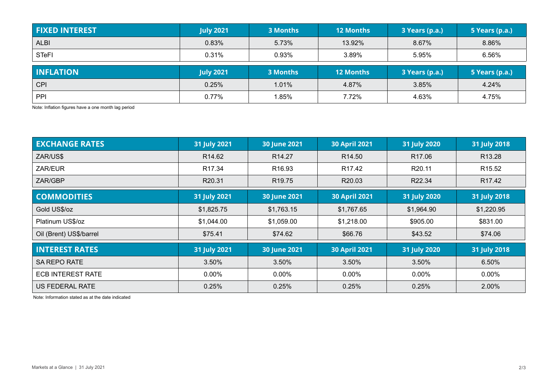| <b>FIXED INTEREST</b> | <b>July 2021</b> | 3 Months | <b>12 Months</b> | 3 Years (p.a.) | 5 Years (p.a.) |
|-----------------------|------------------|----------|------------------|----------------|----------------|
| <b>ALBI</b>           | 0.83%            | 5.73%    | 13.92%           | 8.67%          | 8.86%          |
| <b>STeFI</b>          | 0.31%            | 0.93%    | 3.89%            | 5.95%          | 6.56%          |
| <b>INFLATION</b>      | <b>July 2021</b> | 3 Months | <b>12 Months</b> | 3 Years (p.a.) | 5 Years (p.a.) |
| CPI                   | 0.25%            | 1.01%    | 4.87%            | 3.85%          | 4.24%          |
| PPI                   |                  |          |                  |                |                |

Note: Inflation figures have a one month lag period

| <b>EXCHANGE RATES</b>    | 31 July 2021       | <b>30 June 2021</b> | <b>30 April 2021</b> | 31 July 2020       | 31 July 2018       |
|--------------------------|--------------------|---------------------|----------------------|--------------------|--------------------|
| ZAR/US\$                 | R <sub>14.62</sub> | R <sub>14.27</sub>  | R <sub>14.50</sub>   | R <sub>17.06</sub> | R <sub>13.28</sub> |
| ZAR/EUR                  | R <sub>17.34</sub> | R <sub>16.93</sub>  | R <sub>17.42</sub>   | R <sub>20.11</sub> | R <sub>15.52</sub> |
| ZAR/GBP                  | R20.31             | R <sub>19.75</sub>  | R20.03               | R22.34             | R <sub>17.42</sub> |
| <b>COMMODITIES</b>       | 31 July 2021       | 30 June 2021        | <b>30 April 2021</b> | 31 July 2020       | 31 July 2018       |
| Gold US\$/oz             | \$1,825.75         | \$1,763.15          | \$1,767.65           | \$1,964.90         | \$1,220.95         |
| Platinum US\$/oz         | \$1,044.00         | \$1,059.00          | \$1,218.00           | \$905.00           | \$831.00           |
| Oil (Brent) US\$/barrel  | \$75.41            | \$74.62             | \$66.76              | \$43.52            | \$74.06            |
| <b>INTEREST RATES</b>    | 31 July 2021       | <b>30 June 2021</b> | <b>30 April 2021</b> | 31 July 2020       | 31 July 2018       |
| <b>SA REPO RATE</b>      | 3.50%              | 3.50%               | 3.50%                | 3.50%              | 6.50%              |
| <b>ECB INTEREST RATE</b> | $0.00\%$           | $0.00\%$            | $0.00\%$             | $0.00\%$           | $0.00\%$           |
| US FEDERAL RATE          | 0.25%              | 0.25%               | 0.25%                | 0.25%              | 2.00%              |

Note: Information stated as at the date indicated